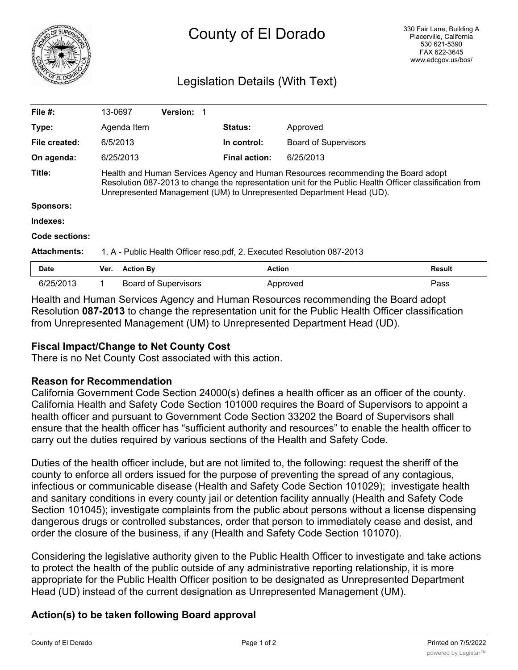

# County of El Dorado

# Legislation Details (With Text)

| File #:             | 13-0697                                                                                                                                                                                                                                                              |                  | Version: 1                  |  |                      |                             |        |
|---------------------|----------------------------------------------------------------------------------------------------------------------------------------------------------------------------------------------------------------------------------------------------------------------|------------------|-----------------------------|--|----------------------|-----------------------------|--------|
| Type:               |                                                                                                                                                                                                                                                                      | Agenda Item      |                             |  | <b>Status:</b>       | Approved                    |        |
| File created:       | 6/5/2013                                                                                                                                                                                                                                                             |                  |                             |  | In control:          | <b>Board of Supervisors</b> |        |
| On agenda:          |                                                                                                                                                                                                                                                                      | 6/25/2013        |                             |  | <b>Final action:</b> | 6/25/2013                   |        |
| Title:              | Health and Human Services Agency and Human Resources recommending the Board adopt<br>Resolution 087-2013 to change the representation unit for the Public Health Officer classification from<br>Unrepresented Management (UM) to Unrepresented Department Head (UD). |                  |                             |  |                      |                             |        |
| <b>Sponsors:</b>    |                                                                                                                                                                                                                                                                      |                  |                             |  |                      |                             |        |
| Indexes:            |                                                                                                                                                                                                                                                                      |                  |                             |  |                      |                             |        |
| Code sections:      |                                                                                                                                                                                                                                                                      |                  |                             |  |                      |                             |        |
| <b>Attachments:</b> | 1. A - Public Health Officer reso.pdf, 2. Executed Resolution 087-2013                                                                                                                                                                                               |                  |                             |  |                      |                             |        |
| Date                | Ver.                                                                                                                                                                                                                                                                 | <b>Action By</b> |                             |  | <b>Action</b>        |                             | Result |
| 6/25/2013           |                                                                                                                                                                                                                                                                      |                  | <b>Board of Supervisors</b> |  |                      | Approved                    | Pass   |

Health and Human Services Agency and Human Resources recommending the Board adopt Resolution **087-2013** to change the representation unit for the Public Health Officer classification from Unrepresented Management (UM) to Unrepresented Department Head (UD).

## **Fiscal Impact/Change to Net County Cost**

There is no Net County Cost associated with this action.

#### **Reason for Recommendation**

California Government Code Section 24000(s) defines a health officer as an officer of the county. California Health and Safety Code Section 101000 requires the Board of Supervisors to appoint a health officer and pursuant to Government Code Section 33202 the Board of Supervisors shall ensure that the health officer has "sufficient authority and resources" to enable the health officer to carry out the duties required by various sections of the Health and Safety Code.

Duties of the health officer include, but are not limited to, the following: request the sheriff of the county to enforce all orders issued for the purpose of preventing the spread of any contagious, infectious or communicable disease (Health and Safety Code Section 101029); investigate health and sanitary conditions in every county jail or detention facility annually (Health and Safety Code Section 101045); investigate complaints from the public about persons without a license dispensing dangerous drugs or controlled substances, order that person to immediately cease and desist, and order the closure of the business, if any (Health and Safety Code Section 101070).

Considering the legislative authority given to the Public Health Officer to investigate and take actions to protect the health of the public outside of any administrative reporting relationship, it is more appropriate for the Public Health Officer position to be designated as Unrepresented Department Head (UD) instead of the current designation as Unrepresented Management (UM).

### **Action(s) to be taken following Board approval**